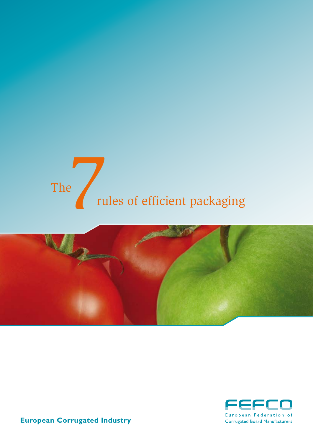# Prules of efficient packaging The





**European Corrugated Industry**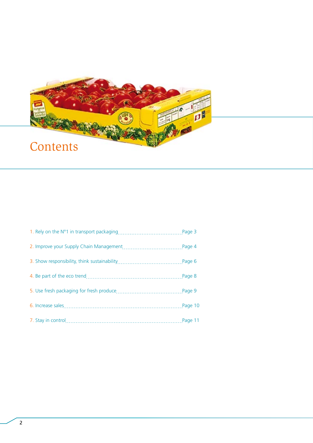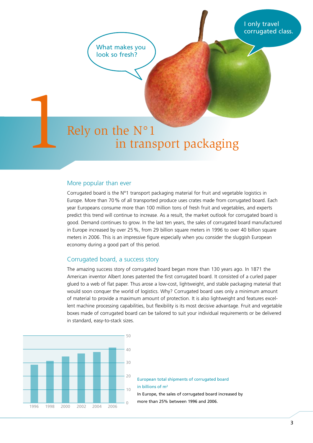I only travel corrugated class.

What makes you look so fresh?

# Rely on the N°1 in trans in transport packaging

#### More popular than ever

Corrugated board is the N°1 transport packaging material for fruit and vegetable logistics in Europe. More than 70% of all transported produce uses crates made from corrugated board. Each year Europeans consume more than 100 million tons of fresh fruit and vegetables, and experts predict this trend will continue to increase. As a result, the market outlook for corrugated board is good. Demand continues to grow. In the last ten years, the sales of corrugated board manufactured in Europe increased by over 25%, from 29 billion square meters in 1996 to over 40 billion square meters in 2006. This is an impressive figure especially when you consider the sluggish European economy during a good part of this period.

#### Corrugated board, a success story

The amazing success story of corrugated board began more than 130 years ago. In 1871 the American inventor Albert Jones patented the first corrugated board. It consisted of a curled paper glued to a web of flat paper. Thus arose a low-cost, lightweight, and stable packaging material that would soon conquer the world of logistics. Why? Corrugated board uses only a minimum amount of material to provide a maximum amount of protection. It is also lightweight and features excellent machine processing capabilities, but flexibility is its most decisive advantage. Fruit and vegetable boxes made of corrugated board can be tailored to suit your individual requirements or be delivered in standard, easy-to-stack sizes.



European total shipments of corrugated board in billions of m2

In Europe, the sales of corrugated board increased by more than 25% between 1996 and 2006.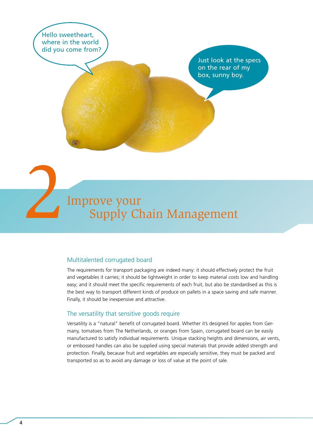Hello sweetheart, where in the world did you come from?

> Just look at the specs on the rear of my box, sunny boy.

# 2<br>2 Improve your<br>Supply Ch Supply Chain Management

#### Multitalented corrugated board

The requirements for transport packaging are indeed many: it should effectively protect the fruit and vegetables it carries; it should be lightweight in order to keep material costs low and handling easy; and it should meet the specific requirements of each fruit, but also be standardised as this is the best way to transport different kinds of produce on pallets in a space saving and safe manner. Finally, it should be inexpensive and attractive.

#### The versatility that sensitive goods require

Versatility is a "natural" benefit of corrugated board. Whether it's designed for apples from Germany, tomatoes from The Netherlands, or oranges from Spain, corrugated board can be easily manufactured to satisfy individual requirements. Unique stacking heights and dimensions, air vents, or embossed handles can also be supplied using special materials that provide added strength and protection. Finally, because fruit and vegetables are especially sensitive, they must be packed and transported so as to avoid any damage or loss of value at the point of sale.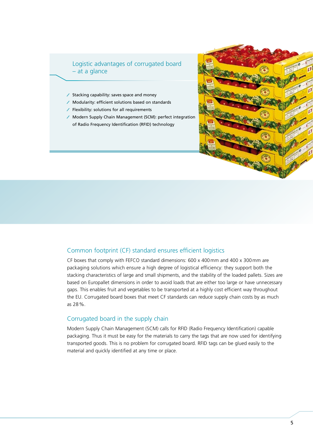#### Logistic advantages of corrugated board – at a glance

- Stacking capability: saves space and money
- Modularity: efficient solutions based on standards
- $\angle$  Flexibility: solutions for all requirements
- Modern Supply Chain Management (SCM): perfect integration of Radio Frequency Identification (RFID) technology



#### Common footprint (CF) standard ensures efficient logistics

CF boxes that comply with FEFCO standard dimensions: 600 x 400mm and 400 x 300mm are packaging solutions which ensure a high degree of logistical efficiency: they support both the stacking characteristics of large and small shipments, and the stability of the loaded pallets. Sizes are based on Europallet dimensions in order to avoid loads that are either too large or have unnecessary gaps. This enables fruit and vegetables to be transported at a highly cost efficient way throughout the EU. Corrugated board boxes that meet CF standards can reduce supply chain costs by as much as 28%.

#### Corrugated board in the supply chain

Modern Supply Chain Management (SCM) calls for RFID (Radio Frequency Identification) capable packaging. Thus it must be easy for the materials to carry the tags that are now used for identifying transported goods. This is no problem for corrugated board. RFID tags can be glued easily to the material and quickly identified at any time or place.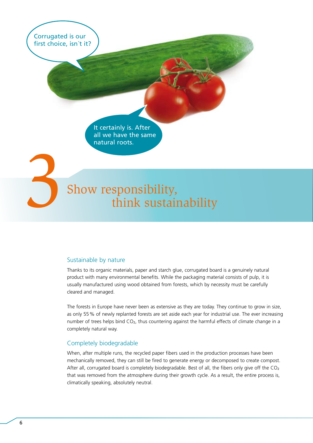Corrugated is our first choice, isn´t it?

> It certainly is. After all we have the same natural roots.

## Show responsibility, think sustainability

#### Sustainable by nature

Thanks to its organic materials, paper and starch glue, corrugated board is a genuinely natural product with many environmental benefits. While the packaging material consists of pulp, it is usually manufactured using wood obtained from forests, which by necessity must be carefully cleared and managed.

The forests in Europe have never been as extensive as they are today. They continue to grow in size, as only 55% of newly replanted forests are set aside each year for industrial use. The ever increasing number of trees helps bind CO2, thus countering against the harmful effects of climate change in a completely natural way.

#### Completely biodegradable

When, after multiple runs, the recycled paper fibers used in the production processes have been mechanically removed, they can still be fired to generate energy or decomposed to create compost. After all, corrugated board is completely biodegradable. Best of all, the fibers only give off the  $CO<sub>2</sub>$ that was removed from the atmosphere during their growth cycle. As a result, the entire process is, climatically speaking, absolutely neutral.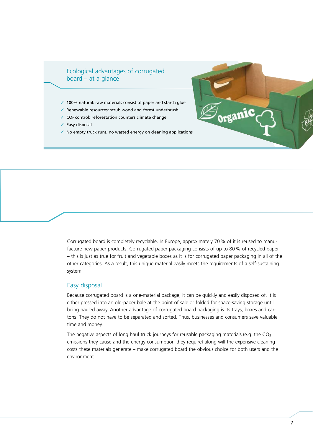#### Ecological advantages of corrugated board – at a glance

- 100% natural: raw materials consist of paper and starch glue
- Renewable resources: scrub wood and forest underbrush
- $\angle$  CO<sub>2</sub> control: reforestation counters climate change
- $\angle$  Easy disposal
- $\prime$  No empty truck runs, no wasted energy on cleaning applications



Corrugated board is completely recyclable. In Europe, approximately 70% of it is reused to manufacture new paper products. Corrugated paper packaging consists of up to 80% of recycled paper – this is just as true for fruit and vegetable boxes as it is for corrugated paper packaging in all of the other categories. As a result, this unique material easily meets the requirements of a self-sustaining system.

#### Easy disposal

Because corrugated board is a one-material package, it can be quickly and easily disposed of. It is either pressed into an old-paper bale at the point of sale or folded for space-saving storage until being hauled away. Another advantage of corrugated board packaging is its trays, boxes and cartons. They do not have to be separated and sorted. Thus, businesses and consumers save valuable time and money.

The negative aspects of long haul truck journeys for reusable packaging materials (e.g. the CO<sub>2</sub> emissions they cause and the energy consumption they require) along will the expensive cleaning costs these materials generate – make corrugated board the obvious choice for both users and the environment.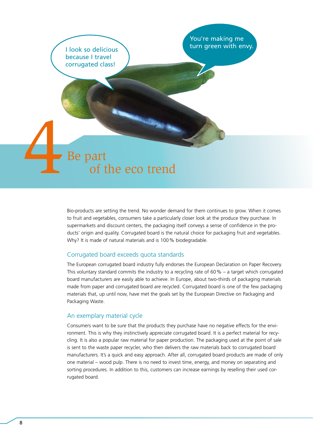

Bio-products are setting the trend. No wonder demand for them continues to grow. When it comes to fruit and vegetables, consumers take a particularly closer look at the produce they purchase. In supermarkets and discount centers, the packaging itself conveys a sense of confidence in the products' origin and quality. Corrugated board is the natural choice for packaging fruit and vegetables. Why? It is made of natural materials and is 100% biodegradable.

#### Corrugated board exceeds quota standards

The European corrugated board industry fully endorses the European Declaration on Paper Recovery. This voluntary standard commits the industry to a recycling rate of 60% – a target which corrugated board manufacturers are easily able to achieve. In Europe, about two-thirds of packaging materials made from paper and corrugated board are recycled. Corrugated board is one of the few packaging materials that, up until now, have met the goals set by the European Directive on Packaging and Packaging Waste.

#### An exemplary material cycle

Consumers want to be sure that the products they purchase have no negative effects for the environment. This is why they instinctively appreciate corrugated board. It is a perfect material for recycling. It is also a popular raw material for paper production. The packaging used at the point of sale is sent to the waste paper recycler, who then delivers the raw materials back to corrugated board manufacturers. It's a quick and easy approach. After all, corrugated board products are made of only one material – wood pulp. There is no need to invest time, energy, and money on separating and sorting procedures. In addition to this, customers can increase earnings by reselling their used corrugated board.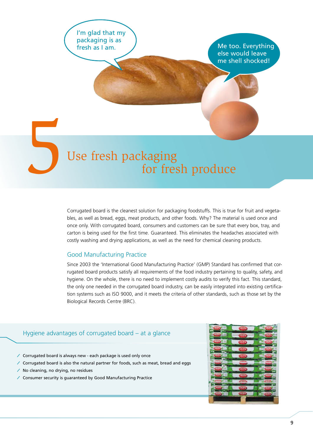I'm glad that my packaging is as fresh as I am.

Me too. Everything else would leave me shell shocked!

### Use fresh packaging for fresh produce

Corrugated board is the cleanest solution for packaging foodstuffs. This is true for fruit and vegetables, as well as bread, eggs, meat products, and other foods. Why? The material is used once and once only. With corrugated board, consumers and customers can be sure that every box, tray, and carton is being used for the first time. Guaranteed. This eliminates the headaches associated with costly washing and drying applications, as well as the need for chemical cleaning products.

#### Good Manufacturing Practice

Since 2003 the 'International Good Manufacturing Practice' (GMP) Standard has confirmed that corrugated board products satisfy all requirements of the food industry pertaining to quality, safety, and hygiene. On the whole, there is no need to implement costly audits to verify this fact. This standard, the only one needed in the corrugated board industry, can be easily integrated into existing certification systems such as ISO 9000, and it meets the criteria of other standards, such as those set by the Biological Records Centre (BRC).

#### Hygiene advantages of corrugated board – at a glance

- Corrugated board is always new each package is used only once
- Corrugated board is also the natural partner for foods, such as meat, bread and eggs
- No cleaning, no drying, no residues
- Consumer security is guaranteed by Good Manufacturing Practice

![](_page_8_Picture_11.jpeg)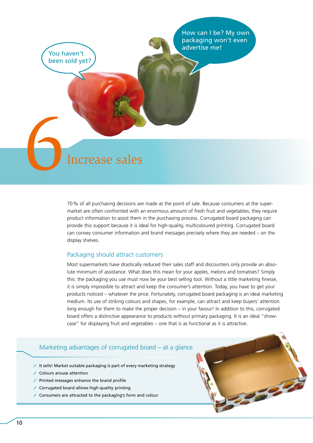How can I be? My own packaging won't even advertise me!

EN Increase sales

You haven't been sold yet?

> 70% of all purchasing decisions are made at the point of sale. Because consumers at the supermarket are often confronted with an enormous amount of fresh fruit and vegetables, they require product information to assist them in the purchasing process. Corrugated board packaging can provide this support because it is ideal for high-quality, multicoloured printing. Corrugated board can convey consumer information and brand messages precisely where they are needed – on the display shelves.

#### Packaging should attract customers

Most supermarkets have drastically reduced their sales staff and discounters only provide an absolute minimum of assistance. What does this mean for your apples, melons and tomatoes? Simply this: the packaging you use must now be your best selling tool. Without a little marketing finesse, it is simply impossible to attract and keep the consumer's attention. Today, you have to get your products noticed – whatever the price. Fortunately, corrugated board packaging is an ideal marketing medium. Its use of striking colours and shapes, for example, can attract and keep buyers' attention long enough for them to make the proper decision – in your favour! In addition to this, corrugated board offers a distinctive appearance to products without primary packaging. It is an ideal "showcase" for displaying fruit and vegetables – one that is as functional as it is attractive.

#### Marketing advantages of corrugated board – at a glance

- It sells! Market suitable packaging is part of every marketing strategy
- Colours arouse attention
- $\angle$  Printed messages enhance the brand profile
- Corrugated board allows high-quality printing
- Consumers are attracted to the packaging's form and colour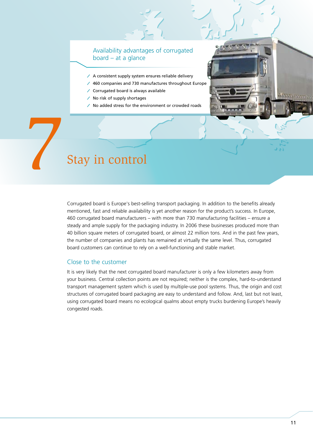#### Availability advantages of corrugated board – at a glance

- $\angle$  A consistent supply system ensures reliable delivery
- 460 companies and 730 manufactures throughout Europe
- Corrugated board is always available
- $\angle$  No risk of supply shortages
- No added stress for the environment or crowded roads

# 7 Stay in control

Corrugated board is Europe's best-selling transport packaging. In addition to the benefits already mentioned, fast and reliable availability is yet another reason for the product's success. In Europe, 460 corrugated board manufacturers – with more than 730 manufacturing facilities – ensure a steady and ample supply for the packaging industry. In 2006 these businesses produced more than 40 billion square meters of corrugated board, or almost 22 million tons. And in the past few years, the number of companies and plants has remained at virtually the same level. Thus, corrugated board customers can continue to rely on a well-functioning and stable market.

#### Close to the customer

It is very likely that the next corrugated board manufacturer is only a few kilometers away from your business. Central collection points are not required; neither is the complex, hard-to-understand transport management system which is used by multiple-use pool systems. Thus, the origin and cost structures of corrugated board packaging are easy to understand and follow. And, last but not least, using corrugated board means no ecological qualms about empty trucks burdening Europe's heavily congested roads.